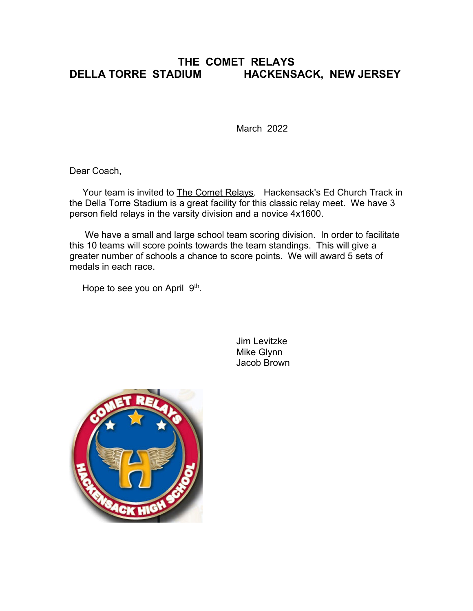## **THE COMET RELAYS DELLA TORRE STADIUM HACKENSACK, NEW JERSEY**

March 2022

Dear Coach,

Your team is invited to The Comet Relays. Hackensack's Ed Church Track in the Della Torre Stadium is a great facility for this classic relay meet. We have 3 person field relays in the varsity division and a novice 4x1600.

 We have a small and large school team scoring division. In order to facilitate this 10 teams will score points towards the team standings. This will give a greater number of schools a chance to score points. We will award 5 sets of medals in each race.

Hope to see you on April 9<sup>th</sup>.

Jim Levitzke Mike Glynn Jacob Brown

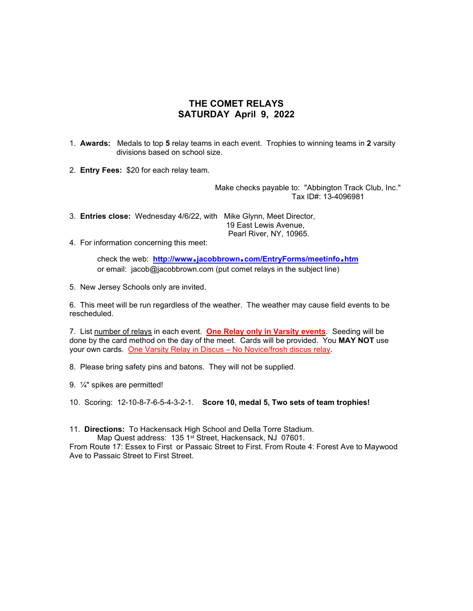## **THE COMET RELAYS SATURDAY April 9, 2022**

1. **Awards:** Medals to top **5** relay teams in each event. Trophies to winning teams in **2** varsity divisions based on school size.

2. **Entry Fees:** \$20 for each relay team.

 Make checks payable to: "Abbington Track Club, Inc." Tax ID#: 13-4096981

3. **Entries close:** Wednesday 4/6/22, with Mike Glynn, Meet Director, 19 East Lewis Avenue, Pearl River, NY, 10965.

4. For information concerning this meet:

check the web: http://www.jacobbrown.com/EntryForms/meetinfo.htm or email: jacob@jacobbrown.com (put comet relays in the subject line)

5. New Jersey Schools only are invited.

6. This meet will be run regardless of the weather. The weather may cause field events to be rescheduled.

7. List number of relays in each event. **One Relay only in Varsity events**. Seeding will be done by the card method on the day of the meet. Cards will be provided. You **MAY NOT** use your own cards. One Varsity Relay in Discus – No Novice/frosh discus relay.

8. Please bring safety pins and batons. They will not be supplied.

9. ¼" spikes are permitted!

10. Scoring: 12-10-8-7-6-5-4-3-2-1. **Score 10, medal 5, Two sets of team trophies!**

11. **Directions:** To Hackensack High School and Della Torre Stadium.

Map Quest address: 135 1st Street, Hackensack, NJ 07601.

From Route 17: Essex to First or Passaic Street to First. From Route 4: Forest Ave to Maywood Ave to Passaic Street to First Street.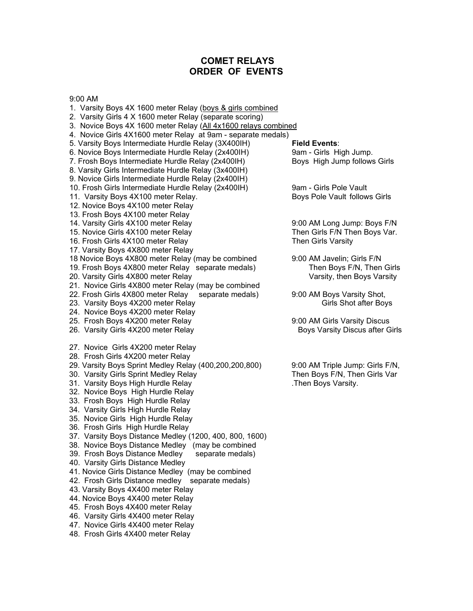### **COMET RELAYS ORDER OF EVENTS**

9:00 AM

- 1. Varsity Boys 4X 1600 meter Relay (boys & girls combined
- 2. Varsity Girls 4 X 1600 meter Relay (separate scoring)
- 3. Novice Boys 4X 1600 meter Relay (All 4x1600 relays combined
- 4. Novice Girls 4X1600 meter Relay at 9am separate medals)
- 5. Varsity Boys Intermediate Hurdle Relay (3X400IH) **Field Events**:
- 
- 7. Frosh Boys Intermediate Hurdle Relay (2x400IH)
- 8. Varsity Girls Intermediate Hurdle Relay (3x400IH)
- 9. Novice Girls Intermediate Hurdle Relay (2x400IH)
- 10. Frosh Girls Intermediate Hurdle Relay (2x400IH) 9am Girls Pole Vault
- 11. Varsity Boys 4X100 meter Relay. And the state of Boys Pole Vault follows Girls
- 12. Novice Boys 4X100 meter Relay
- 13. Frosh Boys 4X100 meter Relay
- 
- 
- 16. Frosh Girls 4X100 meter Relay
- 17. Varsity Boys 4X800 meter Relay
- 
- 19. Frosh Boys 4X800 meter Relay separate medals)
- 20. Varsity Girls 4X800 meter Relay National Communisty, then Boys Varsity
- 
- 21. Novice Girls 4X800 meter Relay (may be combined<br>22. Frosh Girls 4X800 meter Relay separate medals) 9:00 AM Boys Varsity Shot, 22. Frosh Girls 4X800 meter Relay
- 23. Varsity Boys 4X200 meter Relay Girls Shot after Boys Girls Shot after Boys
- 24. Novice Boys 4X200 meter Relay
- 25. Frosh Boys 4X200 meter Relay 9:00 AM Girls Varsity Discus
- 26. Varsity Girls 4X200 meter Relay Boys Varsity Discus after Girls
- 27. Novice Girls 4X200 meter Relay
- 28. Frosh Girls 4X200 meter Relay
- 
- 30. Varsity Girls Sprint Medley Relay
- 31. Varsity Boys High Hurdle Relay .Then Boys Varsity.
- 32. Novice Boys High Hurdle Relay
- 33. Frosh Boys High Hurdle Relay
- 34. Varsity Girls High Hurdle Relay
- 35. Novice Girls High Hurdle Relay
- 36. Frosh Girls High Hurdle Relay
- 37. Varsity Boys Distance Medley (1200, 400, 800, 1600)
- 38. Novice Boys Distance Medley (may be combined
- 39. Frosh Boys Distance Medley separate medals)
- 40. Varsity Girls Distance Medley
- 41. Novice Girls Distance Medley (may be combined
- 42. Frosh Girls Distance medley separate medals)
- 43. Varsity Boys 4X400 meter Relay
- 44. Novice Boys 4X400 meter Relay
- 45. Frosh Boys 4X400 meter Relay
- 46. Varsity Girls 4X400 meter Relay
- 47. Novice Girls 4X400 meter Relay
- 48. Frosh Girls 4X400 meter Relay

6. Novice Boys Intermediate Hurdle Relay (2x400IH) 9am - Girls High Jump.<br>7. Frosh Boys Intermediate Hurdle Relay (2x400IH) Boys High Jump follows Girls

14. Varsity Girls 4X100 meter Relay 14. Notable 10.00 AM Long Jump: Boys F/N 15. Novice Girls 4X100 meter Relay Then South Then Girls F/N Then Boys Var.<br>16. Frosh Girls 4X100 meter Relay Then Girls Varsity Then Girls Varsity

18 Novice Boys 4X800 meter Relay (may be combined 9:00 AM Javelin; Girls F/N<br>19. Frosh Boys 4X800 meter Relay separate medals) Then Boys F/N, Then Girls

29. Varsity Boys Sprint Medley Relay (400,200,200,800) 9:00 AM Triple Jump: Girls F/N,<br>30. Varsity Girls Sprint Medley Relay Then Boys F/N, Then Girls Var